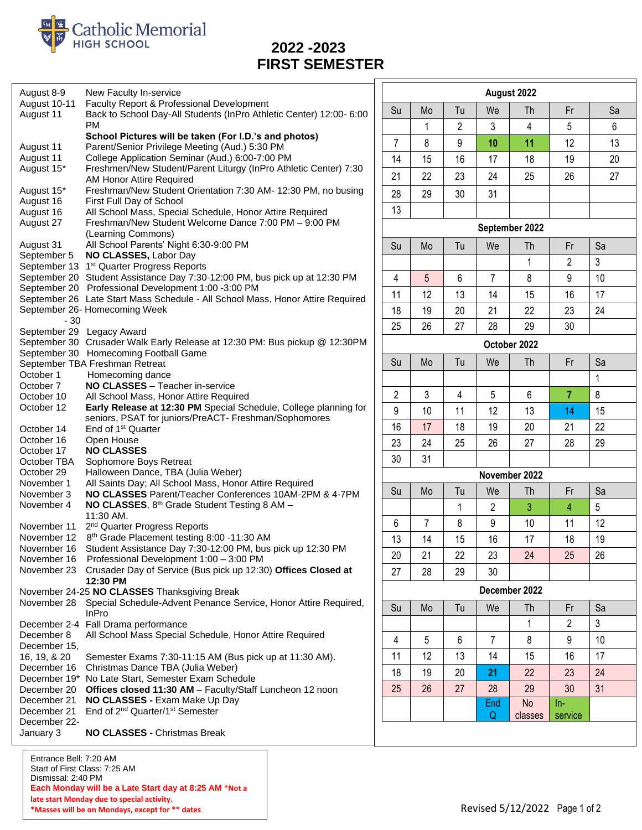

## **FIRST SEMESTER**

| August 8-9                                               | New Faculty In-service                                                                                            |                                        |               |                |                | August 2022    |                  |    |
|----------------------------------------------------------|-------------------------------------------------------------------------------------------------------------------|----------------------------------------|---------------|----------------|----------------|----------------|------------------|----|
| August 10-11<br>August 11                                | Faculty Report & Professional Development<br>Back to School Day-All Students (InPro Athletic Center) 12:00- 6:00  | Su                                     | Mo            | Tu             | We             | <b>Th</b>      | Fr               | Sa |
|                                                          | <b>PM</b>                                                                                                         |                                        | 1             | $\overline{2}$ | 3              | 4              | 5                | 6  |
| August 11                                                | School Pictures will be taken (For I.D.'s and photos)<br>Parent/Senior Privilege Meeting (Aud.) 5:30 PM           | $\overline{7}$                         | 8             | 9              | 10             | 11             | 12               | 13 |
| August 11                                                | College Application Seminar (Aud.) 6:00-7:00 PM                                                                   | 14                                     | 15            | 16             | 17             | 18             | 19               | 20 |
| August 15*                                               | Freshmen/New Student/Parent Liturgy (InPro Athletic Center) 7:30<br>AM Honor Attire Required                      | 21                                     | 22            | 23             | 24             | 25             | 26               | 27 |
| August 15*                                               | Freshman/New Student Orientation 7:30 AM- 12:30 PM, no busing                                                     | 28                                     | 29            | 30             | 31             |                |                  |    |
| August 16                                                | First Full Day of School                                                                                          | 13                                     |               |                |                |                |                  |    |
| August 16<br>August 27                                   | All School Mass, Special Schedule, Honor Attire Required<br>Freshman/New Student Welcome Dance 7:00 PM - 9:00 PM  |                                        |               |                |                | September 2022 |                  |    |
| August 31                                                | (Learning Commons)<br>All School Parents' Night 6:30-9:00 PM                                                      | Sa<br>Su<br>Mo<br>Tu<br>We<br>Th<br>Fr |               |                |                |                |                  |    |
| September 5                                              | NO CLASSES, Labor Day                                                                                             |                                        |               |                |                |                |                  |    |
|                                                          | September 13 1 <sup>st</sup> Quarter Progress Reports                                                             |                                        |               |                |                | $\mathbf{1}$   | $\overline{2}$   | 3  |
|                                                          | September 20 Student Assistance Day 7:30-12:00 PM, bus pick up at 12:30 PM                                        | 4                                      | 5             | 6              | 7              | 8              | 9                | 10 |
|                                                          | September 20 Professional Development 1:00 -3:00 PM                                                               | 11                                     | 12            | 13             | 14             | 15             | 16               | 17 |
|                                                          | September 26 Late Start Mass Schedule - All School Mass, Honor Attire Required                                    |                                        |               |                |                |                |                  | 24 |
| $-30$                                                    | September 26- Homecoming Week                                                                                     | 18                                     | 19            | 20             | 21             | 22             | 23               |    |
|                                                          | September 29 Legacy Award                                                                                         | 25                                     | 26            | 27             | 28             | 29             | 30               |    |
|                                                          | September 30 Crusader Walk Early Release at 12:30 PM: Bus pickup @ 12:30PM                                        |                                        |               |                |                | October 2022   |                  |    |
|                                                          | September 30 Homecoming Football Game<br>September TBA Freshman Retreat                                           | Su                                     | Mo            | Tu             | We             | Th             | Fr               | Sa |
| October 1                                                | Homecoming dance                                                                                                  |                                        |               |                |                |                |                  |    |
| October 7                                                | NO CLASSES - Teacher in-service                                                                                   |                                        |               |                |                |                |                  | 1  |
| October 10                                               | All School Mass, Honor Attire Required                                                                            | $\overline{2}$                         | 3             | 4              | 5              | 6              | $\overline{7}$   | 8  |
| October 12                                               | Early Release at 12:30 PM Special Schedule, College planning for                                                  | 9                                      | 10            | 11             | 12             | 13             | 14               | 15 |
| October 14                                               | seniors, PSAT for juniors/PreACT- Freshman/Sophomores<br>End of 1 <sup>st</sup> Quarter                           | 16                                     | 17            | 18             | 19             | 20             | 21               | 22 |
| October 16                                               | Open House                                                                                                        | 23                                     | 24            | 25             | 26             | 27             | 28               | 29 |
| October 17<br>October TBA                                | <b>NO CLASSES</b><br>Sophomore Boys Retreat                                                                       | 30                                     | 31            |                |                |                |                  |    |
| October 29                                               | Halloween Dance, TBA (Julia Weber)                                                                                |                                        |               |                |                | November 2022  |                  |    |
| November 1                                               | All Saints Day; All School Mass, Honor Attire Required                                                            |                                        |               |                |                |                |                  |    |
| November 3                                               | NO CLASSES Parent/Teacher Conferences 10AM-2PM & 4-7PM                                                            | Su                                     | Mo            | Tu             | We             | Th             | Fr               | Sa |
| November 4                                               | NO CLASSES, 8th Grade Student Testing 8 AM -<br>11:30 AM.                                                         |                                        |               | 1              | $\overline{2}$ | 3              | $\overline{4}$   | 5  |
| November 11                                              | 2 <sup>nd</sup> Quarter Progress Reports                                                                          | 6                                      | 7             | 8              | 9              | 10             | 11               | 12 |
| November 12                                              | 8 <sup>th</sup> Grade Placement testing 8:00 -11:30 AM                                                            | 13                                     | 14            | 15             | 16             | 17             | 18               | 19 |
| November 16                                              | Student Assistance Day 7:30-12:00 PM, bus pick up 12:30 PM<br>November 16 Professional Development 1:00 - 3:00 PM | 20                                     | 21            | 22             | 23             | 24             | 25               | 26 |
|                                                          | November 23 Crusader Day of Service (Bus pick up 12:30) Offices Closed at                                         | 27                                     | 28            | 29             | 30             |                |                  |    |
| 12:30 PM<br>November 24-25 NO CLASSES Thanksgiving Break |                                                                                                                   |                                        | December 2022 |                |                |                |                  |    |
| November 28                                              | Special Schedule-Advent Penance Service, Honor Attire Required,<br>InPro                                          | Su                                     | Mo            | Tu             | We             | Th             | Fr               | Sa |
|                                                          | December 2-4 Fall Drama performance                                                                               |                                        |               |                |                | 1              | 2                | 3  |
| December 8                                               | All School Mass Special Schedule, Honor Attire Required                                                           | 4                                      | 5             | 6              | $\overline{7}$ | 8              | 9                | 10 |
| December 15,<br>16, 19, & 20                             | Semester Exams 7:30-11:15 AM (Bus pick up at 11:30 AM).                                                           | 11                                     | 12            | 13             | 14             | 15             | 16               | 17 |
| December 16                                              | Christmas Dance TBA (Julia Weber)                                                                                 | 18                                     | 19            | 20             | 21             | 22             | 23               | 24 |
|                                                          | December 19* No Late Start, Semester Exam Schedule                                                                |                                        | 26            | 27             |                |                | 30               |    |
| December 20<br>December 21                               | Offices closed 11:30 AM - Faculty/Staff Luncheon 12 noon<br>NO CLASSES - Exam Make Up Day                         | 25                                     |               |                | 28             | 29             |                  | 31 |
| December 21                                              | End of 2 <sup>nd</sup> Quarter/1 <sup>st</sup> Semester                                                           |                                        |               |                | End<br>Q       | No<br>classes  | $ln-$<br>service |    |
| December 22-<br>January 3                                | NO CLASSES - Christmas Break                                                                                      |                                        |               |                |                |                |                  |    |
|                                                          |                                                                                                                   |                                        |               |                |                |                |                  |    |

Entrance Bell: 7:20 AM Start of First Class: 7:25 AM Dismissal: 2:40 PM **Each Monday will be a Late Start day at 8:25 AM \*Not a late start Monday due to special activity. \*Masses will be on Mondays, except for \*\* dates**